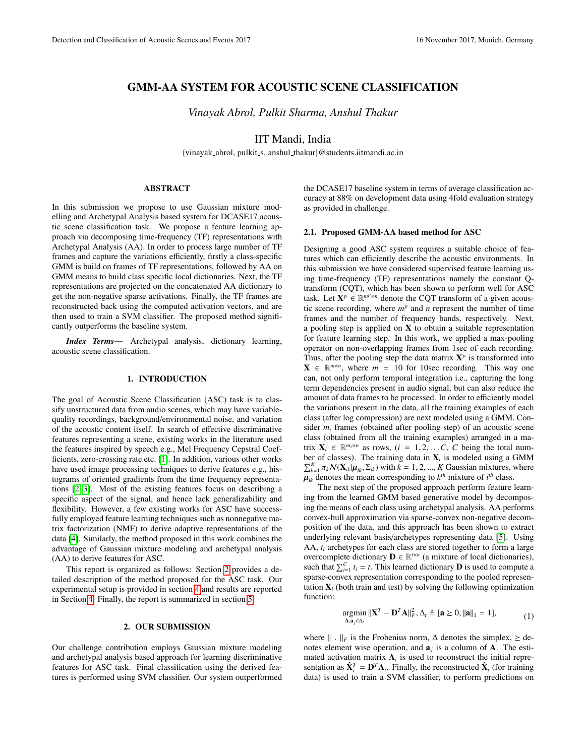# GMM-AA SYSTEM FOR ACOUSTIC SCENE CLASSIFICATION

*Vinayak Abrol, Pulkit Sharma, Anshul Thakur*

IIT Mandi, India

{vinayak abrol, pulkit s, anshul thakur}@students.iitmandi.ac.in

### ABSTRACT

In this submission we propose to use Gaussian mixture modelling and Archetypal Analysis based system for DCASE17 acoustic scene classification task. We propose a feature learning approach via decomposing time-frequency (TF) representations with Archetypal Analysis (AA). In order to process large number of TF frames and capture the variations efficiently, firstly a class-specific GMM is build on frames of TF representations, followed by AA on GMM means to build class specific local dictionaries. Next, the TF representations are projected on the concatenated AA dictionary to get the non-negative sparse activations. Finally, the TF frames are reconstructed back using the computed activation vectors, and are then used to train a SVM classifier. The proposed method significantly outperforms the baseline system.

*Index Terms*— Archetypal analysis, dictionary learning, acoustic scene classification.

### 1. INTRODUCTION

The goal of Acoustic Scene Classification (ASC) task is to classify unstructured data from audio scenes, which may have variablequality recordings, background/environmental noise, and variation of the acoustic content itself. In search of effective discriminative features representing a scene, existing works in the literature used the features inspired by speech e.g., Mel Frequency Cepstral Coefficients, zero-crossing rate etc. [\[1\]](#page-1-0). In addition, various other works have used image processing techniques to derive features e.g., histograms of oriented gradients from the time frequency representations [\[2,](#page-1-1) [3\]](#page-1-2). Most of the existing features focus on describing a specific aspect of the signal, and hence lack generalizability and flexibility. However, a few existing works for ASC have successfully employed feature learning techniques such as nonnegative matrix factorization (NMF) to derive adaptive representations of the data [\[4\]](#page-1-3). Similarly, the method proposed in this work combines the advantage of Gaussian mixture modeling and archetypal analysis (AA) to derive features for ASC.

This report is organized as follows: Section [2](#page-0-0) provides a detailed description of the method proposed for the ASC task. Our experimental setup is provided in section [4](#page-1-4) and results are reported in Section [4.](#page-1-4) Finally, the report is summarized in section [5.](#page-1-5)

#### 2. OUR SUBMISSION

<span id="page-0-0"></span>Our challenge contribution employs Gaussian mixture modeling and archetypal analysis based approach for learning discriminative features for ASC task. Final classification using the derived features is performed using SVM classifier. Our system outperformed

the DCASE17 baseline system in terms of average classification accuracy at 88% on development data using 4fold evaluation strategy as provided in challenge.

# 2.1. Proposed GMM-AA based method for ASC

Designing a good ASC system requires a suitable choice of features which can efficiently describe the acoustic environments. In this submission we have considered supervised feature learning using time-frequency (TF) representations namely the constant Qtransform (CQT), which has been shown to perform well for ASC task. Let  $\mathbf{X}^p \in \mathbb{R}^{m^p \times n}$  denote the CQT transform of a given acoustic scene recording, where  $m<sup>p</sup>$  and *n* represent the number of time frames and the number of frequency bands, respectively. Next, a pooling step is applied on  $X$  to obtain a suitable representation for feature learning step. In this work, we applied a max-pooling operator on non-overlapping frames from 1sec of each recording. Thus, after the pooling step the data matrix  $X^p$  is transformed into  $X \in \mathbb{R}^{m \times n}$ , where  $m = 10$  for 10sec recording. This way one can, not only perform temporal integration i.e., capturing the long term dependencies present in audio signal, but can also reduce the amount of data frames to be processed. In order to efficiently model the variations present in the data, all the training examples of each class (after log compression) are next modeled using a GMM. Consider  $m_i$  frames (obtained after pooling step) of an acoustic scene class (obtained from all the training examples) arranged in a matrix  $\mathbf{X}_i \in \mathbb{R}^{m_i \times n}$  as rows,  $(i = 1, 2, \dots, C, C$  being the total num-<br>her of classes). The training data in  $\mathbf{X}_i$  is modeled using a GMM ber of classes). The training data in  $X_i$  is modeled using a GMM  $\sum_{k=1}^{K} \pi_k \mathcal{N}(\mathbf{X}_{ik} | \boldsymbol{\mu}_{ik}, \boldsymbol{\Sigma}_{ik})$  with  $\bar{k} = 1, 2, ..., K$  Gaussian mixtures, where  $\boldsymbol{\mu}_{ik}$  denotes the mean corresponding to  $k^{th}$  mixture of  $i^{th}$  class  $\mu_{ik}$  denotes the mean corresponding to  $k^{th}$  mixture of *i*<sup>th</sup> class.<br>The next step of the proposed approach perform feature

The next step of the proposed approach perform feature learning from the learned GMM based generative model by decomposing the means of each class using archetypal analysis. AA performs convex-hull approximation via sparse-convex non-negative decomposition of the data, and this approach has been shown to extract underlying relevant basis/archetypes representing data [\[5\]](#page-1-6). Using AA, *t<sup>i</sup>* archetypes for each class are stored together to form a large overcomplete dictionary  $\mathbf{D} \in \mathbb{R}^{t \times n}$  (a mixture of local dictionaries), such that  $\sum_{i=1}^{C} t_i = t$ . This learned dictionary **D** is used to compute a sparse-convex representation corresponding to the pooled representation  $X_i$  (both train and test) by solving the following optimization function:

$$
\underset{\mathbf{A},\mathbf{a}_j\in\Delta_t}{\text{argmin}} \|\mathbf{X}^T - \mathbf{D}^T\mathbf{A}\|_F^2, \Delta_t \triangleq [\mathbf{a} \ge 0, \|\mathbf{a}\|_1 = 1],\tag{1}
$$

where  $\|\cdot\|_F$  is the Frobenius norm,  $\Delta$  denotes the simplex,  $\geq$  denotes element wise operation, and  $a_j$  is a column of  $A$ . The estimated activation matrix  $A_i$  is used to reconstruct the initial representation as  $\hat{\mathbf{X}}_i^T = \mathbf{D}^T \mathbf{A}_i$ . Finally, the reconstructed  $\hat{\mathbf{X}}_i$  (for training data) is used to train a SVM classifier, to perform predictions on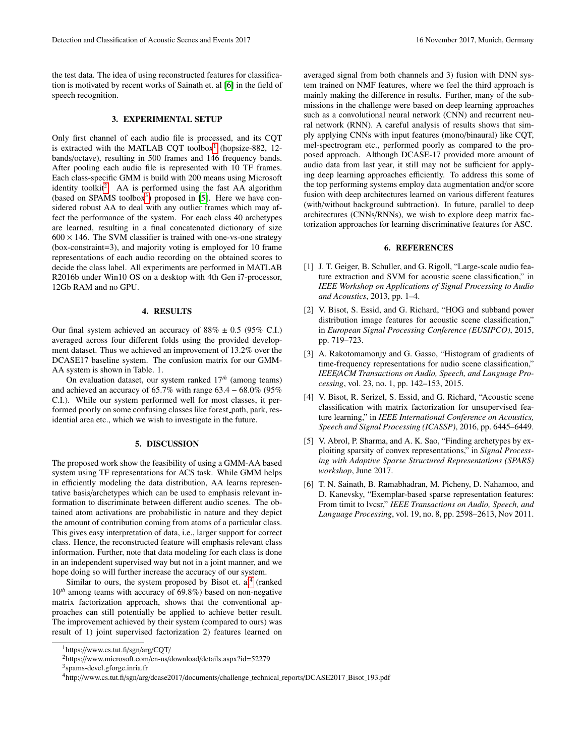the test data. The idea of using reconstructed features for classification is motivated by recent works of Sainath et. al [\[6\]](#page-1-7) in the field of speech recognition.

### 3. EXPERIMENTAL SETUP

Only first channel of each audio file is processed, and its CQT is extracted with the MATLAB CQT toolbox<sup>[1](#page-1-8)</sup> (hopsize-882, 12bands/octave), resulting in 500 frames and 146 frequency bands. After pooling each audio file is represented with 10 TF frames. Each class-specific GMM is build with 200 means using Microsoft identity toolkit<sup>[2](#page-1-9)</sup>. AA is performed using the fast AA algorithm (based on SPAMS toolbox<sup>[3](#page-1-10)</sup>) proposed in [\[5\]](#page-1-6). Here we have considered robust AA to deal with any outlier frames which may affect the performance of the system. For each class 40 archetypes are learned, resulting in a final concatenated dictionary of size  $600 \times 146$ . The SVM classifier is trained with one-vs-one strategy (box-constraint=3), and majority voting is employed for 10 frame representations of each audio recording on the obtained scores to decide the class label. All experiments are performed in MATLAB R2016b under Win10 OS on a desktop with 4th Gen i7-processor, 12Gb RAM and no GPU.

#### 4. RESULTS

<span id="page-1-4"></span>Our final system achieved an accuracy of  $88\% \pm 0.5$  (95% C.I.) averaged across four different folds using the provided development dataset. Thus we achieved an improvement of 13.2% over the DCASE17 baseline system. The confusion matrix for our GMM-AA system is shown in Table. 1.

On evaluation dataset, our system ranked 17*th* (among teams) and achieved an accuracy of 65.7% with range  $63.4 - 68.0\%$  (95% C.I.). While our system performed well for most classes, it performed poorly on some confusing classes like forest path, park, residential area etc., which we wish to investigate in the future.

### 5. DISCUSSION

<span id="page-1-5"></span>The proposed work show the feasibility of using a GMM-AA based system using TF representations for ACS task. While GMM helps in efficiently modeling the data distribution, AA learns representative basis/archetypes which can be used to emphasis relevant information to discriminate between different audio scenes. The obtained atom activations are probabilistic in nature and they depict the amount of contribution coming from atoms of a particular class. This gives easy interpretation of data, i.e., larger support for correct class. Hence, the reconstructed feature will emphasis relevant class information. Further, note that data modeling for each class is done in an independent supervised way but not in a joint manner, and we hope doing so will further increase the accuracy of our system.

Similar to ours, the system proposed by Bisot et.  $al<sup>4</sup>$  $al<sup>4</sup>$  $al<sup>4</sup>$  (ranked <sup>10</sup>*th* among teams with accuracy of 69.8%) based on non-negative matrix factorization approach, shows that the conventional approaches can still potentially be applied to achieve better result. The improvement achieved by their system (compared to ours) was result of 1) joint supervised factorization 2) features learned on

<span id="page-1-10"></span>3 spams-devel.gforge.inria.fr

averaged signal from both channels and 3) fusion with DNN system trained on NMF features, where we feel the third approach is mainly making the difference in results. Further, many of the submissions in the challenge were based on deep learning approaches such as a convolutional neural network (CNN) and recurrent neural network (RNN). A careful analysis of results shows that simply applying CNNs with input features (mono/binaural) like CQT, mel-spectrogram etc., performed poorly as compared to the proposed approach. Although DCASE-17 provided more amount of audio data from last year, it still may not be sufficient for applying deep learning approaches efficiently. To address this some of the top performing systems employ data augmentation and/or score fusion with deep architectures learned on various different features (with/without background subtraction). In future, parallel to deep architectures (CNNs/RNNs), we wish to explore deep matrix factorization approaches for learning discriminative features for ASC.

## 6. REFERENCES

- <span id="page-1-0"></span>[1] J. T. Geiger, B. Schuller, and G. Rigoll, "Large-scale audio feature extraction and SVM for acoustic scene classification," in *IEEE Workshop on Applications of Signal Processing to Audio and Acoustics*, 2013, pp. 1–4.
- <span id="page-1-1"></span>[2] V. Bisot, S. Essid, and G. Richard, "HOG and subband power distribution image features for acoustic scene classification," in *European Signal Processing Conference (EUSIPCO)*, 2015, pp. 719–723.
- <span id="page-1-2"></span>[3] A. Rakotomamonjy and G. Gasso, "Histogram of gradients of time-frequency representations for audio scene classification," *IEEE*/*ACM Transactions on Audio, Speech, and Language Processing*, vol. 23, no. 1, pp. 142–153, 2015.
- <span id="page-1-3"></span>[4] V. Bisot, R. Serizel, S. Essid, and G. Richard, "Acoustic scene classification with matrix factorization for unsupervised feature learning," in *IEEE International Conference on Acoustics, Speech and Signal Processing (ICASSP)*, 2016, pp. 6445–6449.
- <span id="page-1-6"></span>[5] V. Abrol, P. Sharma, and A. K. Sao, "Finding archetypes by exploiting sparsity of convex representations," in *Signal Processing with Adaptive Sparse Structured Representations (SPARS) workshop*, June 2017.
- <span id="page-1-7"></span>[6] T. N. Sainath, B. Ramabhadran, M. Picheny, D. Nahamoo, and D. Kanevsky, "Exemplar-based sparse representation features: From timit to lvcsr," *IEEE Transactions on Audio, Speech, and Language Processing*, vol. 19, no. 8, pp. 2598–2613, Nov 2011.

<span id="page-1-8"></span><sup>1</sup>https://www.cs.tut.fi/sgn/arg/CQT/

<span id="page-1-9"></span><sup>2</sup>https://www.microsoft.com/en-us/download/details.aspx?id=52279

<span id="page-1-11"></span><sup>4</sup>http://www.cs.tut.fi/sgn/arg/dcase2017/documents/challenge technical reports/DCASE2017 Bisot 193.pdf